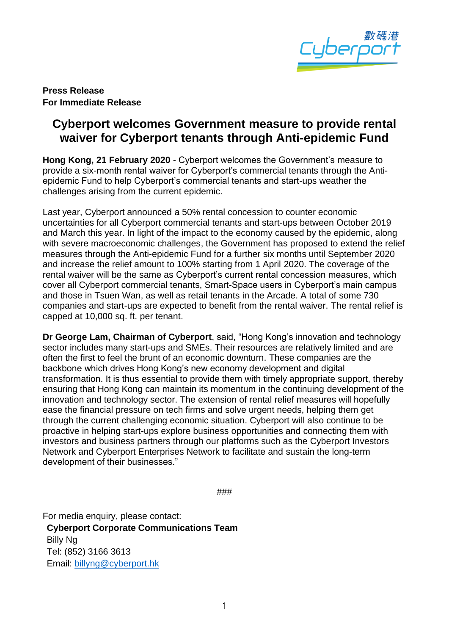

**Press Release For Immediate Release**

## **Cyberport welcomes Government measure to provide rental waiver for Cyberport tenants through Anti-epidemic Fund**

**Hong Kong, 21 February 2020** - Cyberport welcomes the Government's measure to provide a six-month rental waiver for Cyberport's commercial tenants through the Antiepidemic Fund to help Cyberport's commercial tenants and start-ups weather the challenges arising from the current epidemic.

Last year, Cyberport announced a 50% rental concession to counter economic uncertainties for all Cyberport commercial tenants and start-ups between October 2019 and March this year. In light of the impact to the economy caused by the epidemic, along with severe macroeconomic challenges, the Government has proposed to extend the relief measures through the Anti-epidemic Fund for a further six months until September 2020 and increase the relief amount to 100% starting from 1 April 2020. The coverage of the rental waiver will be the same as Cyberport's current rental concession measures, which cover all Cyberport commercial tenants, Smart-Space users in Cyberport's main campus and those in Tsuen Wan, as well as retail tenants in the Arcade. A total of some 730 companies and start-ups are expected to benefit from the rental waiver. The rental relief is capped at 10,000 sq. ft. per tenant.

**Dr George Lam, Chairman of Cyberport**, said, "Hong Kong's innovation and technology sector includes many start-ups and SMEs. Their resources are relatively limited and are often the first to feel the brunt of an economic downturn. These companies are the backbone which drives Hong Kong's new economy development and digital transformation. It is thus essential to provide them with timely appropriate support, thereby ensuring that Hong Kong can maintain its momentum in the continuing development of the innovation and technology sector. The extension of rental relief measures will hopefully ease the financial pressure on tech firms and solve urgent needs, helping them get through the current challenging economic situation. Cyberport will also continue to be proactive in helping start-ups explore business opportunities and connecting them with investors and business partners through our platforms such as the Cyberport Investors Network and Cyberport Enterprises Network to facilitate and sustain the long-term development of their businesses."

###

For media enquiry, please contact: **Cyberport Corporate Communications Team** Billy Ng Tel: (852) 3166 3613 Email: [billyng@cyberport.hk](mailto:billyng@cyberport.hk)